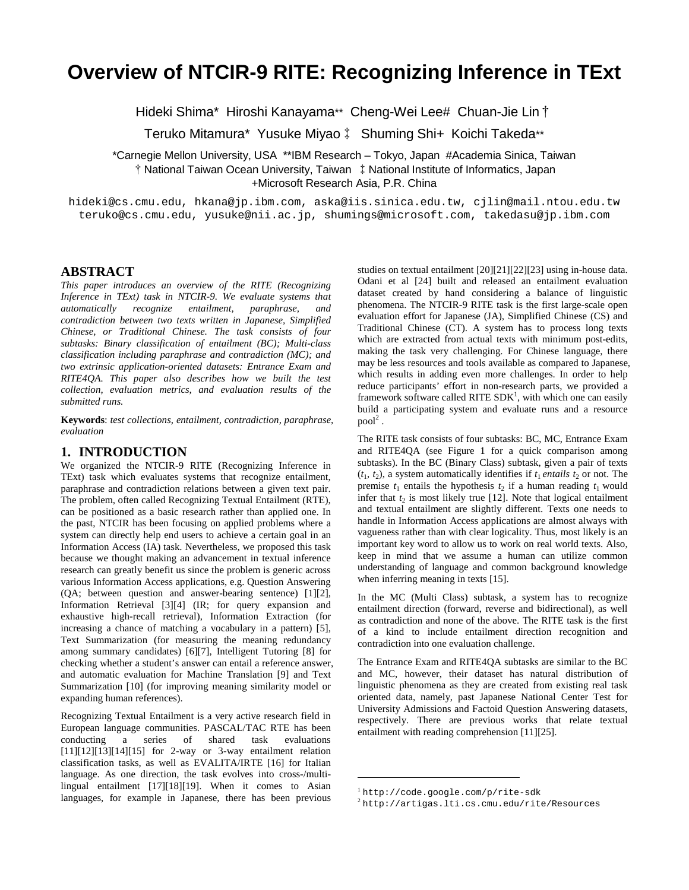# **Overview of NTCIR-9 RITE: Recognizing Inference in TExt**

Hideki Shima\* Hiroshi Kanayama\*\* Cheng-Wei Lee# Chuan-Jie Lin †

Teruko Mitamura\* Yusuke Miyao‡ Shuming Shi+ Koichi Takeda\*\*

\*Carnegie Mellon University, USA \*\*IBM Research – Tokyo, Japan #Academia Sinica, Taiwan †National Taiwan Ocean University, Taiwan ‡National Institute of Informatics, Japan +Microsoft Research Asia, P.R. China

hideki@cs.cmu.edu, hkana@jp.ibm.com, aska@iis.sinica.edu.tw, cjlin@mail.ntou.edu.tw teruko@cs.cmu.edu, yusuke@nii.ac.jp, shumings@microsoft.com, takedasu@jp.ibm.com

# **ABSTRACT**

*This paper introduces an overview of the RITE (Recognizing Inference in TExt) task in NTCIR-9. We evaluate systems that automatically recognize entailment, paraphrase, and contradiction between two texts written in Japanese, Simplified Chinese, or Traditional Chinese. The task consists of four subtasks: Binary classification of entailment (BC); Multi-class classification including paraphrase and contradiction (MC); and two extrinsic application-oriented datasets: Entrance Exam and RITE4QA. This paper also describes how we built the test collection, evaluation metrics, and evaluation results of the submitted runs.* 

**Keywords**: *test collections, entailment, contradiction, paraphrase, evaluation*

# **1. INTRODUCTION**

We organized the NTCIR-9 RITE (Recognizing Inference in TExt) task which evaluates systems that recognize entailment, paraphrase and contradiction relations between a given text pair. The problem, often called Recognizing Textual Entailment (RTE), can be positioned as a basic research rather than applied one. In the past, NTCIR has been focusing on applied problems where a system can directly help end users to achieve a certain goal in an Information Access (IA) task. Nevertheless, we proposed this task because we thought making an advancement in textual inference research can greatly benefit us since the problem is generic across various Information Access applications, e.g. Question Answering (QA; between question and answer-bearing sentence) [1][2], Information Retrieval [3][4] (IR; for query expansion and exhaustive high-recall retrieval), Information Extraction (for increasing a chance of matching a vocabulary in a pattern) [5], Text Summarization (for measuring the meaning redundancy among summary candidates) [6][7], Intelligent Tutoring [8] for checking whether a student's answer can entail a reference answer, and automatic evaluation for Machine Translation [9] and Text Summarization [10] (for improving meaning similarity model or expanding human references).

Recognizing Textual Entailment is a very active research field in European language communities. PASCAL/TAC RTE has been conducting a series of shared task evaluations [11][12][13][14][15] for 2-way or 3-way entailment relation classification tasks, as well as EVALITA/IRTE [16] for Italian language. As one direction, the task evolves into cross-/multilingual entailment [17][18][19]. When it comes to Asian languages, for example in Japanese, there has been previous

studies on textual entailment [20][21][22][23] using in-house data. Odani et al [24] built and released an entailment evaluation dataset created by hand considering a balance of linguistic phenomena. The NTCIR-9 RITE task is the first large-scale open evaluation effort for Japanese (JA), Simplified Chinese (CS) and Traditional Chinese (CT). A system has to process long texts which are extracted from actual texts with minimum post-edits, making the task very challenging. For Chinese language, there may be less resources and tools available as compared to Japanese, which results in adding even more challenges. In order to help reduce participants' effort in non-research parts, we provided a framework software called RITE  $SDK<sup>1</sup>$ , with which one can easily build a participating system and evaluate runs and a resource  $pool<sup>2</sup>$ .

The RITE task consists of four subtasks: BC, MC, Entrance Exam and RITE4QA (see Figure 1 for a quick comparison among subtasks). In the BC (Binary Class) subtask, given a pair of texts  $(t_1, t_2)$ , a system automatically identifies if  $t_1$  *entails*  $t_2$  or not. The premise  $t_1$  entails the hypothesis  $t_2$  if a human reading  $t_1$  would infer that  $t_2$  is most likely true [12]. Note that logical entailment and textual entailment are slightly different. Texts one needs to handle in Information Access applications are almost always with vagueness rather than with clear logicality. Thus, most likely is an important key word to allow us to work on real world texts. Also, keep in mind that we assume a human can utilize common understanding of language and common background knowledge when inferring meaning in texts [15].

In the MC (Multi Class) subtask, a system has to recognize entailment direction (forward, reverse and bidirectional), as well as contradiction and none of the above. The RITE task is the first of a kind to include entailment direction recognition and contradiction into one evaluation challenge.

The Entrance Exam and RITE4QA subtasks are similar to the BC and MC, however, their dataset has natural distribution of linguistic phenomena as they are created from existing real task oriented data, namely, past Japanese National Center Test for University Admissions and Factoid Question Answering datasets, respectively. There are previous works that relate textual entailment with reading comprehension [11][25].

1

<sup>1</sup> http://code.google.com/p/rite-sdk

<sup>2</sup> http://artigas.lti.cs.cmu.edu/rite/Resources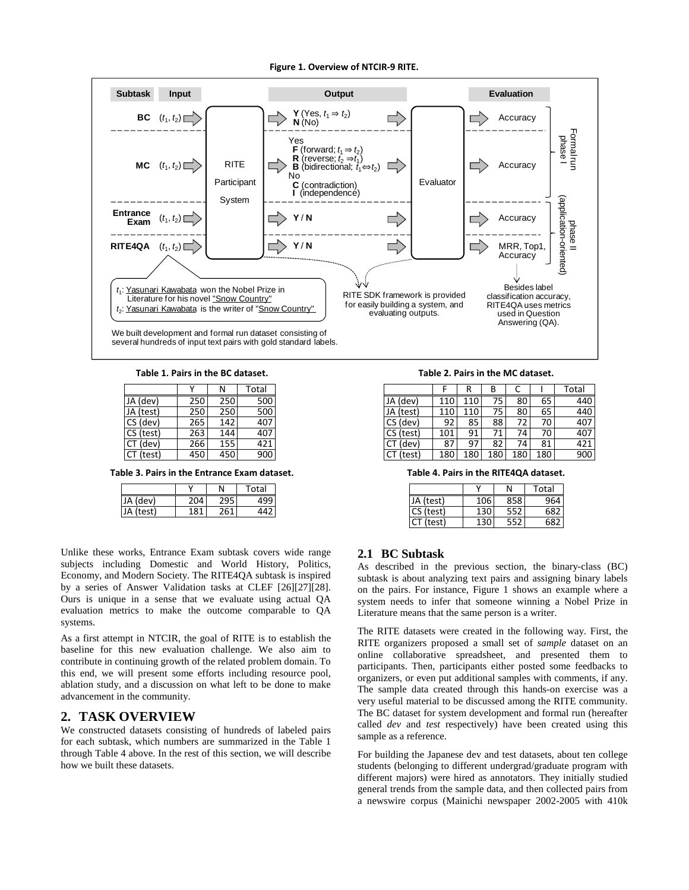#### Figure 1. Overview of NTCIR-9 RITE.



Table 1. Pairs in the BC dataset.

|                       |     | Ν   | Total |  |
|-----------------------|-----|-----|-------|--|
| JA (dev)              | 250 | 250 | 500   |  |
| JA (test)             | 250 | 250 | 500   |  |
| CS (dev)              | 265 | 142 | 407   |  |
| CS (test)             | 263 | 144 | 407   |  |
| $\overline{CT}$ (dev) | 266 | 155 | 421   |  |
| CT (test)             | 450 | 450 | 900   |  |

Table 3. Pairs in the Entrance Exam dataset.

|           | v    | N   | Total |
|-----------|------|-----|-------|
| JA (dev)  | 204  |     |       |
| JA (test) | 181. | 261 |       |

Unlike these works, Entrance Exam subtask covers wide range subjects including Domestic and World History, Politics, Economy, and Modern Society. The RITE4QA subtask is inspired by a series of Answer Validation tasks at CLEF [26][27][28]. Ours is unique in a sense that we evaluate using actual QA evaluation metrics to make the outcome comparable to QA systems.

As a first attempt in NTCIR, the goal of RITE is to establish the baseline for this new evaluation challenge. We also aim to contribute in continuing growth of the related problem domain. To this end, we will present some efforts including resource pool, ablation study, and a discussion on what left to be done to make advancement in the community.

# **2. TASK OVERVIEW**

We constructed datasets consisting of hundreds of labeled pairs for each subtask, which numbers are summarized in the Table 1 through Table 4 above. In the rest of this section, we will describe how we built these datasets.

Table 2. Pairs in the MC dataset.

|               |     | R   | В   |     |     | Total |
|---------------|-----|-----|-----|-----|-----|-------|
| JA (dev)      | 110 | 110 | 75  | 80  | 65  | 440   |
| JA (test)     | 110 | 110 | 75  | 80  | 65  | 440   |
| CS (dev)      | 92  | 85  | 88  | 72  | 70  | 407   |
| CS (test)     | 101 | 91  | 71  | 74  | 70  | 407   |
| CT (dev)      | 87  | 97  | 82  | 74  | 81  | 421   |
| (test)<br>CT. | 180 | 180 | 180 | 180 | 180 | 900   |

Table 4. Pairs in the RITE4QA dataset.

|           |     |     | Total |
|-----------|-----|-----|-------|
| JA (test) | 106 | 858 | 964   |
| CS (test) | 130 | 552 | 682   |
| (test)    |     | 552 | 682   |

## **2.1 BC Subtask**

As described in the previous section, the binary-class (BC) subtask is about analyzing text pairs and assigning binary labels on the pairs. For instance, Figure 1 shows an example where a system needs to infer that someone winning a Nobel Prize in Literature means that the same person is a writer.

The RITE datasets were created in the following way. First, the RITE organizers proposed a small set of *sample* dataset on an online collaborative spreadsheet, and presented them to participants. Then, participants either posted some feedbacks to organizers, or even put additional samples with comments, if any. The sample data created through this hands-on exercise was a very useful material to be discussed among the RITE community. The BC dataset for system development and formal run (hereafter called *dev* and *test* respectively) have been created using this sample as a reference.

For building the Japanese dev and test datasets, about ten college students (belonging to different undergrad/graduate program with different majors) were hired as annotators. They initially studied general trends from the sample data, and then collected pairs from a newswire corpus (Mainichi newspaper 2002-2005 with 410k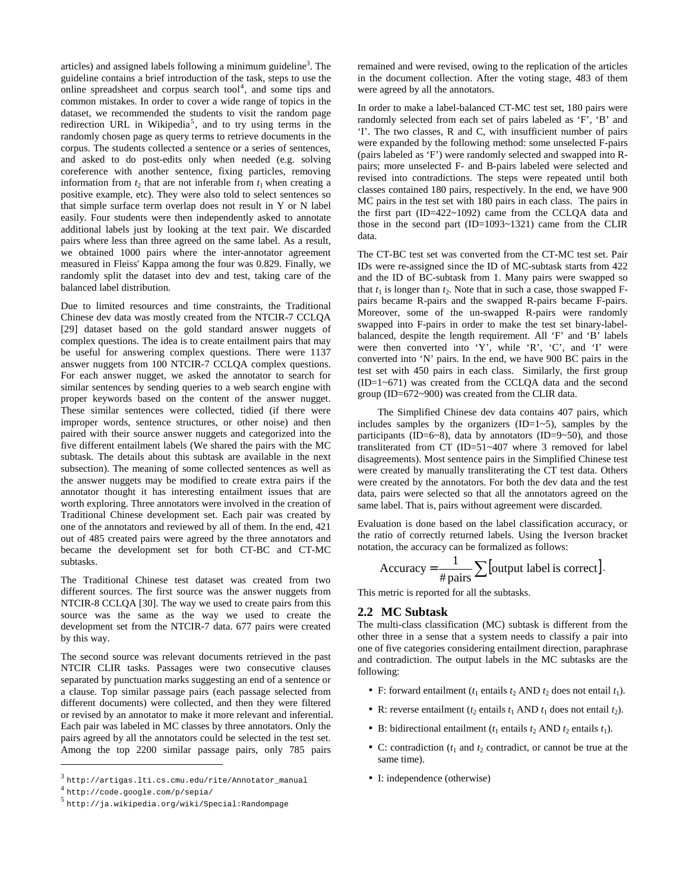articles) and assigned labels following a minimum guideline<sup>3</sup>. The guideline contains a brief introduction of the task, steps to use the online spreadsheet and corpus search tool<sup>4</sup>, and some tips and common mistakes. In order to cover a wide range of topics in the dataset, we recommended the students to visit the random page redirection URL in Wikipedia<sup>5</sup>, and to try using terms in the randomly chosen page as query terms to retrieve documents in the corpus. The students collected a sentence or a series of sentences, and asked to do post-edits only when needed (e.g. solving coreference with another sentence, fixing particles, removing information from  $t_2$  that are not inferable from  $t_1$  when creating a positive example, etc). They were also told to select sentences so that simple surface term overlap does not result in Y or N label easily. Four students were then independently asked to annotate additional labels just by looking at the text pair. We discarded pairs where less than three agreed on the same label. As a result, we obtained 1000 pairs where the inter-annotator agreement measured in Fleiss' Kappa among the four was 0.829. Finally, we randomly split the dataset into dev and test, taking care of the balanced label distribution.

Due to limited resources and time constraints, the Traditional Chinese dev data was mostly created from the NTCIR-7 CCLQA [29] dataset based on the gold standard answer nuggets of complex questions. The idea is to create entailment pairs that may be useful for answering complex questions. There were 1137 answer nuggets from 100 NTCIR-7 CCLQA complex questions. For each answer nugget, we asked the annotator to search for similar sentences by sending queries to a web search engine with proper keywords based on the content of the answer nugget. These similar sentences were collected, tidied (if there were improper words, sentence structures, or other noise) and then paired with their source answer nuggets and categorized into the five different entailment labels (We shared the pairs with the MC subtask. The details about this subtask are available in the next subsection). The meaning of some collected sentences as well as the answer nuggets may be modified to create extra pairs if the annotator thought it has interesting entailment issues that are worth exploring. Three annotators were involved in the creation of Traditional Chinese development set. Each pair was created by one of the annotators and reviewed by all of them. In the end, 421 out of 485 created pairs were agreed by the three annotators and became the development set for both CT-BC and CT-MC subtasks.

The Traditional Chinese test dataset was created from two different sources. The first source was the answer nuggets from NTCIR-8 CCLQA [30]. The way we used to create pairs from this source was the same as the way we used to create the development set from the NTCIR-7 data. 677 pairs were created by this way.

The second source was relevant documents retrieved in the past NTCIR CLIR tasks. Passages were two consecutive clauses separated by punctuation marks suggesting an end of a sentence or a clause. Top similar passage pairs (each passage selected from different documents) were collected, and then they were filtered or revised by an annotator to make it more relevant and inferential. Each pair was labeled in MC classes by three annotators. Only the pairs agreed by all the annotators could be selected in the test set. Among the top 2200 similar passage pairs, only 785 pairs

 $\overline{a}$ 

remained and were revised, owing to the replication of the articles in the document collection. After the voting stage, 483 of them were agreed by all the annotators.

In order to make a label-balanced CT-MC test set, 180 pairs were randomly selected from each set of pairs labeled as 'F', 'B' and 'I'. The two classes, R and C, with insufficient number of pairs were expanded by the following method: some unselected F-pairs (pairs labeled as 'F') were randomly selected and swapped into Rpairs; more unselected F- and B-pairs labeled were selected and revised into contradictions. The steps were repeated until both classes contained 180 pairs, respectively. In the end, we have 900 MC pairs in the test set with 180 pairs in each class. The pairs in the first part (ID=422~1092) came from the CCLQA data and those in the second part (ID=1093~1321) came from the CLIR data.

The CT-BC test set was converted from the CT-MC test set. Pair IDs were re-assigned since the ID of MC-subtask starts from 422 and the ID of BC-subtask from 1. Many pairs were swapped so that  $t_1$  is longer than  $t_2$ . Note that in such a case, those swapped Fpairs became R-pairs and the swapped R-pairs became F-pairs. Moreover, some of the un-swapped R-pairs were randomly swapped into F-pairs in order to make the test set binary-labelbalanced, despite the length requirement. All 'F' and 'B' labels were then converted into 'Y', while 'R', 'C', and 'I' were converted into 'N' pairs. In the end, we have 900 BC pairs in the test set with 450 pairs in each class. Similarly, the first group (ID=1~671) was created from the CCLQA data and the second group (ID=672~900) was created from the CLIR data.

The Simplified Chinese dev data contains 407 pairs, which includes samples by the organizers  $(ID=1~5)$ , samples by the participants (ID=6~8), data by annotators (ID=9~50), and those transliterated from CT (ID=51~407 where 3 removed for label disagreements). Most sentence pairs in the Simplified Chinese test were created by manually transliterating the CT test data. Others were created by the annotators. For both the dev data and the test data, pairs were selected so that all the annotators agreed on the same label. That is, pairs without agreement were discarded.

Evaluation is done based on the label classification accuracy, or the ratio of correctly returned labels. Using the Iverson bracket notation, the accuracy can be formalized as follows:

$$
Accuracy = \frac{1}{\# pairs} \sum [\text{output label is correct}].
$$

This metric is reported for all the subtasks.

## **2.2 MC Subtask**

The multi-class classification (MC) subtask is different from the other three in a sense that a system needs to classify a pair into one of five categories considering entailment direction, paraphrase and contradiction. The output labels in the MC subtasks are the following:

- F: forward entailment  $(t_1$  entails  $t_2$  AND  $t_2$  does not entail  $t_1$ ).
- R: reverse entailment ( $t_2$  entails  $t_1$  AND  $t_1$  does not entail  $t_2$ ).
- B: bidirectional entailment  $(t_1$  entails  $t_2$  AND  $t_2$  entails  $t_1$ ).
- C: contradiction  $(t_1$  and  $t_2$  contradict, or cannot be true at the same time).
- I: independence (otherwise)

<sup>3</sup> http://artigas.lti.cs.cmu.edu/rite/Annotator\_manual

<sup>4</sup> http://code.google.com/p/sepia/

<sup>5</sup> http://ja.wikipedia.org/wiki/Special:Randompage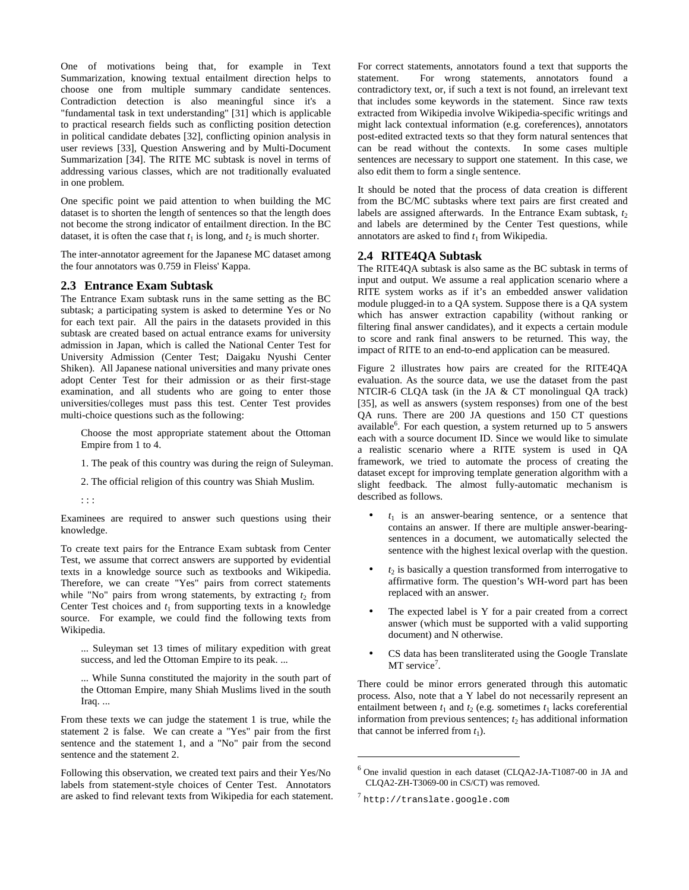One of motivations being that, for example in Text Summarization, knowing textual entailment direction helps to choose one from multiple summary candidate sentences. Contradiction detection is also meaningful since it's a "fundamental task in text understanding" [31] which is applicable to practical research fields such as conflicting position detection in political candidate debates [32], conflicting opinion analysis in user reviews [33], Question Answering and by Multi-Document Summarization [34]. The RITE MC subtask is novel in terms of addressing various classes, which are not traditionally evaluated in one problem.

One specific point we paid attention to when building the MC dataset is to shorten the length of sentences so that the length does not become the strong indicator of entailment direction. In the BC dataset, it is often the case that  $t_1$  is long, and  $t_2$  is much shorter.

The inter-annotator agreement for the Japanese MC dataset among the four annotators was 0.759 in Fleiss' Kappa.

## **2.3 Entrance Exam Subtask**

The Entrance Exam subtask runs in the same setting as the BC subtask; a participating system is asked to determine Yes or No for each text pair. All the pairs in the datasets provided in this subtask are created based on actual entrance exams for university admission in Japan, which is called the National Center Test for University Admission (Center Test; Daigaku Nyushi Center Shiken). All Japanese national universities and many private ones adopt Center Test for their admission or as their first-stage examination, and all students who are going to enter those universities/colleges must pass this test. Center Test provides multi-choice questions such as the following:

Choose the most appropriate statement about the Ottoman Empire from 1 to 4.

1. The peak of this country was during the reign of Suleyman.

2. The official religion of this country was Shiah Muslim.

: : :

Examinees are required to answer such questions using their knowledge.

To create text pairs for the Entrance Exam subtask from Center Test, we assume that correct answers are supported by evidential texts in a knowledge source such as textbooks and Wikipedia. Therefore, we can create "Yes" pairs from correct statements while "No" pairs from wrong statements, by extracting  $t_2$  from Center Test choices and  $t_1$  from supporting texts in a knowledge source. For example, we could find the following texts from Wikipedia.

... Suleyman set 13 times of military expedition with great success, and led the Ottoman Empire to its peak. ...

... While Sunna constituted the majority in the south part of the Ottoman Empire, many Shiah Muslims lived in the south Iraq. ...

From these texts we can judge the statement 1 is true, while the statement 2 is false. We can create a "Yes" pair from the first sentence and the statement 1, and a "No" pair from the second sentence and the statement 2.

Following this observation, we created text pairs and their Yes/No labels from statement-style choices of Center Test. Annotators are asked to find relevant texts from Wikipedia for each statement. For correct statements, annotators found a text that supports the statement. For wrong statements, annotators found a contradictory text, or, if such a text is not found, an irrelevant text that includes some keywords in the statement. Since raw texts extracted from Wikipedia involve Wikipedia-specific writings and might lack contextual information (e.g. coreferences), annotators post-edited extracted texts so that they form natural sentences that can be read without the contexts. In some cases multiple sentences are necessary to support one statement. In this case, we also edit them to form a single sentence.

It should be noted that the process of data creation is different from the BC/MC subtasks where text pairs are first created and labels are assigned afterwards. In the Entrance Exam subtask,  $t_2$ and labels are determined by the Center Test questions, while annotators are asked to find  $t_1$  from Wikipedia.

#### **2.4 RITE4QA Subtask**

The RITE4QA subtask is also same as the BC subtask in terms of input and output. We assume a real application scenario where a RITE system works as if it's an embedded answer validation module plugged-in to a QA system. Suppose there is a QA system which has answer extraction capability (without ranking or filtering final answer candidates), and it expects a certain module to score and rank final answers to be returned. This way, the impact of RITE to an end-to-end application can be measured.

Figure 2 illustrates how pairs are created for the RITE4QA evaluation. As the source data, we use the dataset from the past NTCIR-6 CLQA task (in the JA & CT monolingual QA track) [35], as well as answers (system responses) from one of the best QA runs. There are 200 JA questions and 150 CT questions available<sup>6</sup>. For each question, a system returned up to 5 answers each with a source document ID. Since we would like to simulate a realistic scenario where a RITE system is used in QA framework, we tried to automate the process of creating the dataset except for improving template generation algorithm with a slight feedback. The almost fully-automatic mechanism is described as follows.

- $\bullet$   $t_1$  is an answer-bearing sentence, or a sentence that contains an answer. If there are multiple answer-bearingsentences in a document, we automatically selected the sentence with the highest lexical overlap with the question.
- $\bullet$   $t_2$  is basically a question transformed from interrogative to affirmative form. The question's WH-word part has been replaced with an answer.
- The expected label is Y for a pair created from a correct answer (which must be supported with a valid supporting document) and N otherwise.
- CS data has been transliterated using the Google Translate MT service<sup>7</sup>.

There could be minor errors generated through this automatic process. Also, note that a Y label do not necessarily represent an entailment between  $t_1$  and  $t_2$  (e.g. sometimes  $t_1$  lacks coreferential information from previous sentences;  $t_2$  has additional information that cannot be inferred from  $t_1$ ).

1

 $6$  One invalid question in each dataset (CLQA2-JA-T1087-00 in JA and CLQA2-ZH-T3069-00 in CS/CT) was removed.

 $^7$ http://translate.google.com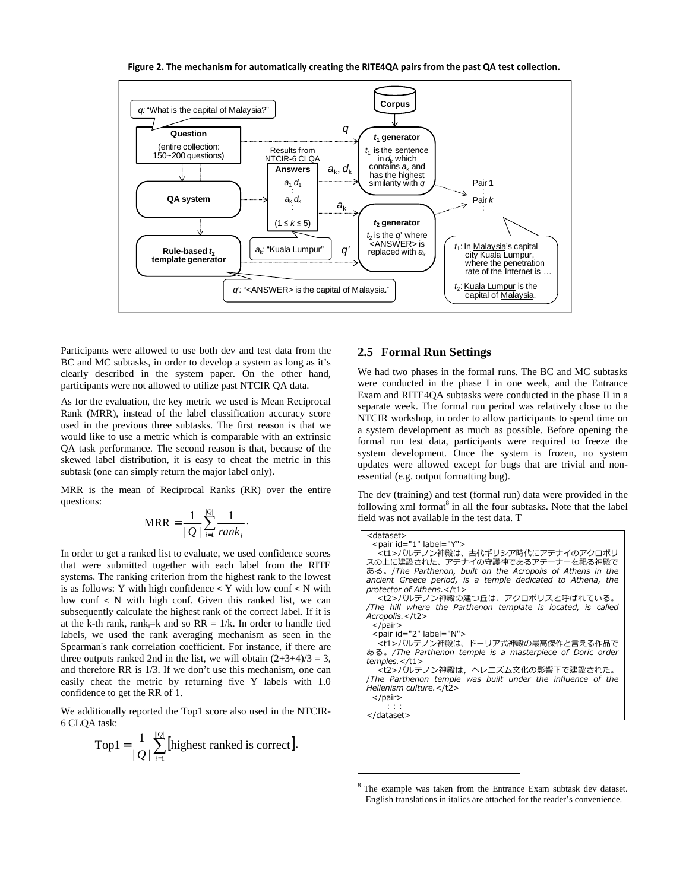Figure 2. The mechanism for automatically creating the RITE4QA pairs from the past QA test collection.



1

Participants were allowed to use both dev and test data from the BC and MC subtasks, in order to develop a system as long as it's clearly described in the system paper. On the other hand, participants were not allowed to utilize past NTCIR QA data.

As for the evaluation, the key metric we used is Mean Reciprocal Rank (MRR), instead of the label classification accuracy score used in the previous three subtasks. The first reason is that we would like to use a metric which is comparable with an extrinsic QA task performance. The second reason is that, because of the skewed label distribution, it is easy to cheat the metric in this subtask (one can simply return the major label only).

MRR is the mean of Reciprocal Ranks (RR) over the entire questions:

$$
MRR = \frac{1}{|Q|} \sum_{i=1}^{|Q|} \frac{1}{rank_i}.
$$

In order to get a ranked list to evaluate, we used confidence scores that were submitted together with each label from the RITE systems. The ranking criterion from the highest rank to the lowest is as follows: Y with high confidence < Y with low conf < N with low conf < N with high conf. Given this ranked list, we can subsequently calculate the highest rank of the correct label. If it is at the k-th rank, rank $:=$ k and so RR = 1/k. In order to handle tied labels, we used the rank averaging mechanism as seen in the Spearman's rank correlation coefficient. For instance, if there are three outputs ranked 2nd in the list, we will obtain  $(2+3+4)/3 = 3$ , and therefore RR is 1/3. If we don't use this mechanism, one can easily cheat the metric by returning five Y labels with 1.0 confidence to get the RR of 1.

We additionally reported the Top1 score also used in the NTCIR-6 CLQA task:

Top1 = 
$$
\frac{1}{|Q|} \sum_{i=1}^{|Q|} [\text{highest ranked is correct}].
$$

# **2.5 Formal Run Settings**

We had two phases in the formal runs. The BC and MC subtasks were conducted in the phase I in one week, and the Entrance Exam and RITE4QA subtasks were conducted in the phase II in a separate week. The formal run period was relatively close to the NTCIR workshop, in order to allow participants to spend time on a system development as much as possible. Before opening the formal run test data, participants were required to freeze the system development. Once the system is frozen, no system updates were allowed except for bugs that are trivial and nonessential (e.g. output formatting bug).

The dev (training) and test (formal run) data were provided in the following xml format<sup>8</sup> in all the four subtasks. Note that the label field was not available in the test data. T

| <dataset></dataset>                                          |
|--------------------------------------------------------------|
| <pair id="1" label="Y"></pair>                               |
| <t1>パルテノン神殿は、古代ギリシア時代にアテナイのアクロポリ</t1>                        |
| スの上に建設された、アテナイの守護神であるアテーナーを祀る神殿で                             |
| ある。/The Parthenon, built on the Acropolis of Athens in the   |
| ancient Greece period, is a temple dedicated to Athena, the  |
| protector of Athens.                                         |
|                                                              |
| <t2>パルテノン神殿の建つ丘は、アクロポリスと呼ばれている。</t2>                         |
| /The hill where the Parthenon template is located, is called |
| Acropolis.                                                   |
| $<$ /pair>                                                   |
| <pair id="2" label="N"></pair>                               |
| <t1>パルテノン神殿は、ドーリア式神殿の最高傑作と言える作品で</t1>                        |
|                                                              |
| ある。/The Parthenon temple is a masterpiece of Doric order     |
| $t$ emples. $\lt/t1$ >                                       |
| <t2>パルテノン神殿は, ヘレニズム文化の影響下で建設された。</t2>                        |
| The Parthenon temple was built under the influence of the    |
| Hellenism culture.                                           |
| $<$ /pair>                                                   |
|                                                              |
| $\mathbf{1}$                                                 |
|                                                              |

<sup>&</sup>lt;sup>8</sup> The example was taken from the Entrance Exam subtask dev dataset. English translations in italics are attached for the reader's convenience.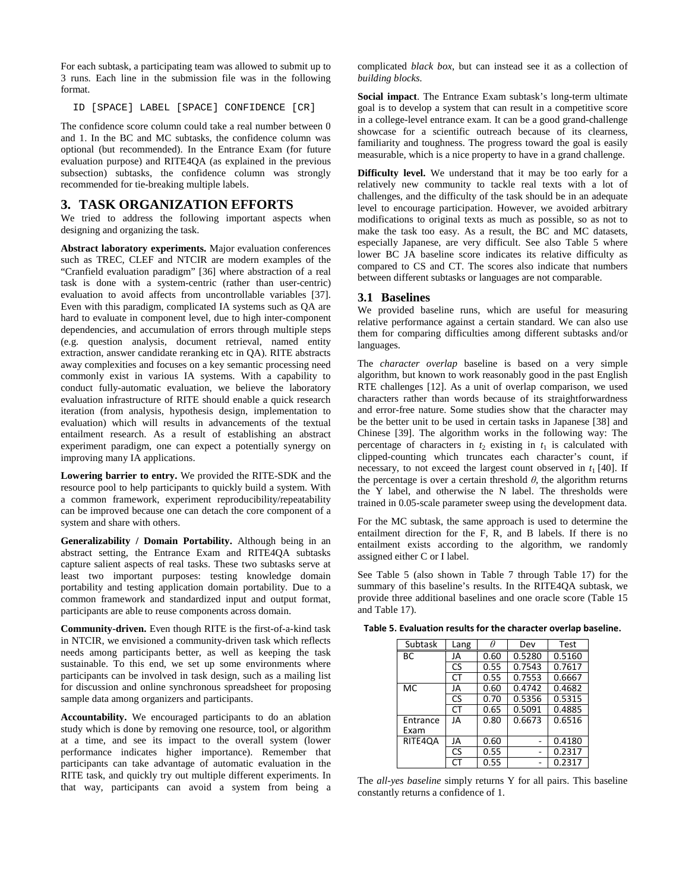For each subtask, a participating team was allowed to submit up to 3 runs. Each line in the submission file was in the following format.

ID [SPACE] LABEL [SPACE] CONFIDENCE [CR]

The confidence score column could take a real number between 0 and 1. In the BC and MC subtasks, the confidence column was optional (but recommended). In the Entrance Exam (for future evaluation purpose) and RITE4QA (as explained in the previous subsection) subtasks, the confidence column was strongly recommended for tie-breaking multiple labels.

# **3. TASK ORGANIZATION EFFORTS**

We tried to address the following important aspects when designing and organizing the task.

**Abstract laboratory experiments.** Major evaluation conferences such as TREC, CLEF and NTCIR are modern examples of the "Cranfield evaluation paradigm" [36] where abstraction of a real task is done with a system-centric (rather than user-centric) evaluation to avoid affects from uncontrollable variables [37]. Even with this paradigm, complicated IA systems such as QA are hard to evaluate in component level, due to high inter-component dependencies, and accumulation of errors through multiple steps (e.g. question analysis, document retrieval, named entity extraction, answer candidate reranking etc in QA). RITE abstracts away complexities and focuses on a key semantic processing need commonly exist in various IA systems. With a capability to conduct fully-automatic evaluation, we believe the laboratory evaluation infrastructure of RITE should enable a quick research iteration (from analysis, hypothesis design, implementation to evaluation) which will results in advancements of the textual entailment research. As a result of establishing an abstract experiment paradigm, one can expect a potentially synergy on improving many IA applications.

**Lowering barrier to entry.** We provided the RITE-SDK and the resource pool to help participants to quickly build a system. With a common framework, experiment reproducibility/repeatability can be improved because one can detach the core component of a system and share with others.

**Generalizability / Domain Portability.** Although being in an abstract setting, the Entrance Exam and RITE4QA subtasks capture salient aspects of real tasks. These two subtasks serve at least two important purposes: testing knowledge domain portability and testing application domain portability. Due to a common framework and standardized input and output format, participants are able to reuse components across domain.

**Community-driven.** Even though RITE is the first-of-a-kind task in NTCIR, we envisioned a community-driven task which reflects needs among participants better, as well as keeping the task sustainable. To this end, we set up some environments where participants can be involved in task design, such as a mailing list for discussion and online synchronous spreadsheet for proposing sample data among organizers and participants.

**Accountability.** We encouraged participants to do an ablation study which is done by removing one resource, tool, or algorithm at a time, and see its impact to the overall system (lower performance indicates higher importance). Remember that participants can take advantage of automatic evaluation in the RITE task, and quickly try out multiple different experiments. In that way, participants can avoid a system from being a

complicated *black box*, but can instead see it as a collection of *building blocks.*

**Social impact**. The Entrance Exam subtask's long-term ultimate goal is to develop a system that can result in a competitive score in a college-level entrance exam. It can be a good grand-challenge showcase for a scientific outreach because of its clearness, familiarity and toughness. The progress toward the goal is easily measurable, which is a nice property to have in a grand challenge.

**Difficulty level.** We understand that it may be too early for a relatively new community to tackle real texts with a lot of challenges, and the difficulty of the task should be in an adequate level to encourage participation. However, we avoided arbitrary modifications to original texts as much as possible, so as not to make the task too easy. As a result, the BC and MC datasets, especially Japanese, are very difficult. See also Table 5 where lower BC JA baseline score indicates its relative difficulty as compared to CS and CT. The scores also indicate that numbers between different subtasks or languages are not comparable.

## **3.1 Baselines**

We provided baseline runs, which are useful for measuring relative performance against a certain standard. We can also use them for comparing difficulties among different subtasks and/or languages.

The *character overlap* baseline is based on a very simple algorithm, but known to work reasonably good in the past English RTE challenges [12]. As a unit of overlap comparison, we used characters rather than words because of its straightforwardness and error-free nature. Some studies show that the character may be the better unit to be used in certain tasks in Japanese [38] and Chinese [39]. The algorithm works in the following way: The percentage of characters in  $t_2$  existing in  $t_1$  is calculated with clipped-counting which truncates each character's count, if necessary, to not exceed the largest count observed in  $t_1$  [40]. If the percentage is over a certain threshold  $\theta$ , the algorithm returns the Y label, and otherwise the N label. The thresholds were trained in 0.05-scale parameter sweep using the development data.

For the MC subtask, the same approach is used to determine the entailment direction for the F, R, and B labels. If there is no entailment exists according to the algorithm, we randomly assigned either C or I label.

See Table 5 (also shown in Table 7 through Table 17) for the summary of this baseline's results. In the RITE4QA subtask, we provide three additional baselines and one oracle score (Table 15 and Table 17).

Table 5. Evaluation results for the character overlap baseline.

| Subtask          | Lang | Ĥ    | Dev    | Test   |  |
|------------------|------|------|--------|--------|--|
| ВC               | JA   | 0.60 | 0.5280 | 0.5160 |  |
|                  | CS   | 0.55 | 0.7543 | 0.7617 |  |
|                  | CT   | 0.55 | 0.7553 | 0.6667 |  |
| MC.              | JA   | 0.60 | 0.4742 | 0.4682 |  |
|                  | CS   | 0.70 | 0.5356 | 0.5315 |  |
|                  | CT   | 0.65 | 0.5091 | 0.4885 |  |
| Entrance<br>Exam | JA   | 0.80 | 0.6673 | 0.6516 |  |
| RITE4QA          | JA   | 0.60 |        | 0.4180 |  |
|                  | CS   | 0.55 |        | 0.2317 |  |
|                  | CΤ   | 0.55 |        | 0.2317 |  |

The *all-yes baseline* simply returns Y for all pairs. This baseline constantly returns a confidence of 1.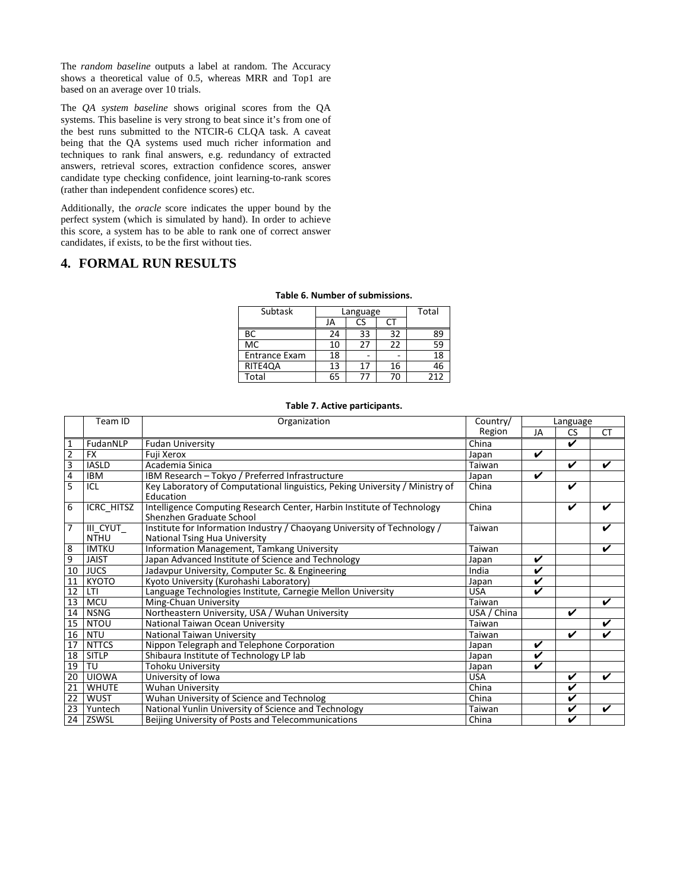The *random baseline* outputs a label at random. The Accuracy shows a theoretical value of 0.5, whereas MRR and Top1 are based on an average over 10 trials.

The *QA system baseline* shows original scores from the QA systems. This baseline is very strong to beat since it's from one of the best runs submitted to the NTCIR-6 CLQA task. A caveat being that the QA systems used much richer information and techniques to rank final answers, e.g. redundancy of extracted answers, retrieval scores, extraction confidence scores, answer candidate type checking confidence, joint learning-to-rank scores (rather than independent confidence scores) etc.

Additionally, the *oracle* score indicates the upper bound by the perfect system (which is simulated by hand). In order to achieve this score, a system has to be able to rank one of correct answer candidates, if exists, to be the first without ties.

# **4. FORMAL RUN RESULTS**

| Subtask              |    | Language       |    | Total |  |
|----------------------|----|----------------|----|-------|--|
|                      | JA |                |    |       |  |
| BС                   | 24 | 33             | 32 | 89    |  |
| МC                   | 10 | 27             | 22 | 59    |  |
| <b>Entrance Exam</b> | 18 |                |    | 18    |  |
| RITE4QA              | 13 | 17             | 16 | 46    |  |
| Total                | 65 | $\prime\prime$ | 70 | 212   |  |

#### Table 6. Number of submissions.

|  |  |  | Table 7. Active participants. |
|--|--|--|-------------------------------|
|--|--|--|-------------------------------|

|                | Team ID                 | Organization                                                                                                     | Country/    | Language                |                    |           |
|----------------|-------------------------|------------------------------------------------------------------------------------------------------------------|-------------|-------------------------|--------------------|-----------|
|                |                         |                                                                                                                  | Region      | JA                      | <b>CS</b>          | <b>CT</b> |
| $\overline{1}$ | FudanNLP                | <b>Fudan University</b>                                                                                          | China       |                         | ✓                  |           |
| $\overline{2}$ | <b>FX</b>               | Fuii Xerox                                                                                                       | Japan       | ✓                       |                    |           |
| 3              | <b>IASLD</b>            | Academia Sinica                                                                                                  | Taiwan      |                         | ✓                  | ✔         |
| $\overline{4}$ | <b>IBM</b>              | IBM Research - Tokyo / Preferred Infrastructure                                                                  | Japan       | ✓                       |                    |           |
| 5              | ICL                     | Key Laboratory of Computational linguistics, Peking University / Ministry of<br>Education                        | China       |                         | V                  |           |
| 6              | ICRC_HITSZ              | Intelligence Computing Research Center, Harbin Institute of Technology<br>Shenzhen Graduate School               | China       |                         | V                  |           |
| 7              | III CYUT<br><b>NTHU</b> | Institute for Information Industry / Chaoyang University of Technology /<br><b>National Tsing Hua University</b> | Taiwan      |                         |                    |           |
| $\overline{8}$ | <b>IMTKU</b>            | Information Management, Tamkang University                                                                       | Taiwan      |                         |                    | ✔         |
| $\overline{9}$ | <b>JAIST</b>            | Japan Advanced Institute of Science and Technology                                                               | Japan       | ✓                       |                    |           |
| 10             | <b>JUCS</b>             | Jadavpur University, Computer Sc. & Engineering                                                                  | India       | ✓                       |                    |           |
| 11             | <b>KYOTO</b>            | Kyoto University (Kurohashi Laboratory)                                                                          | Japan       | V                       |                    |           |
| 12             | LTI                     | Language Technologies Institute, Carnegie Mellon University                                                      | <b>USA</b>  | ✓                       |                    |           |
| 13             | <b>MCU</b>              | Ming-Chuan University                                                                                            | Taiwan      |                         |                    | ✓         |
| 14             | <b>NSNG</b>             | Northeastern University, USA / Wuhan University                                                                  | USA / China |                         | V                  |           |
| 15             | <b>NTOU</b>             | National Taiwan Ocean University                                                                                 | Taiwan      |                         |                    | ✓         |
| 16             | <b>NTU</b>              | National Taiwan University                                                                                       | Taiwan      |                         | $\boldsymbol{\nu}$ | ✔         |
| 17             | <b>NTTCS</b>            | Nippon Telegraph and Telephone Corporation                                                                       | Japan       | V                       |                    |           |
| 18             | <b>SITLP</b>            | Shibaura Institute of Technology LP lab                                                                          | Japan       | V                       |                    |           |
| 19             | TU                      | Tohoku University                                                                                                | Japan       | $\overline{\mathbf{v}}$ |                    |           |
| 20             | <b>UIOWA</b>            | University of Iowa                                                                                               | <b>USA</b>  |                         | ✓                  | V         |
| 21             | <b>WHUTE</b>            | <b>Wuhan University</b>                                                                                          | China       |                         | ✓                  |           |
| 22             | <b>WUST</b>             | Wuhan University of Science and Technolog                                                                        | China       |                         | V                  |           |
| 23             | Yuntech                 | National Yunlin University of Science and Technology                                                             | Taiwan      |                         | V                  | V         |
| 24             | ZSWSL                   | Beijing University of Posts and Telecommunications                                                               | China       |                         | V                  |           |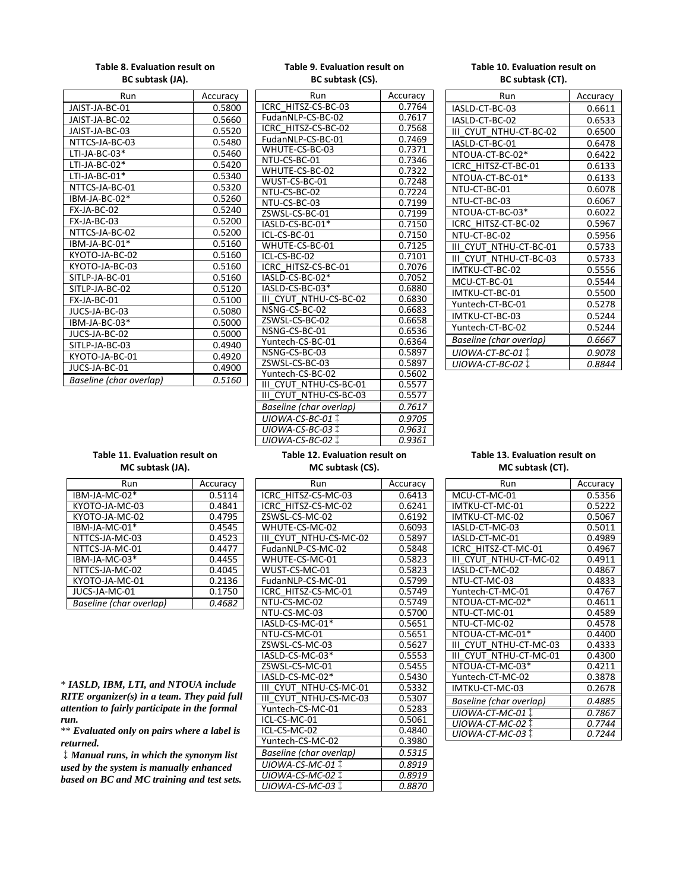## Table 8. Evaluation result on BC subtask (JA).

| Run                            | Accuracy |
|--------------------------------|----------|
| JAIST-JA-BC-01                 | 0.5800   |
| JAIST-JA-BC-02                 | 0.5660   |
| JAIST-JA-BC-03                 | 0.5520   |
| NTTCS-JA-BC-03                 | 0.5480   |
| LTI-JA-BC-03*                  | 0.5460   |
| LTI-JA-BC-02*                  | 0.5420   |
| $LTI-JA-BC-01*$                | 0.5340   |
| NTTCS-JA-BC-01                 | 0.5320   |
| IBM-JA-BC-02*                  | 0.5260   |
| FX-JA-BC-02                    | 0.5240   |
| FX-JA-BC-03                    | 0.5200   |
| NTTCS-JA-BC-02                 | 0.5200   |
| IBM-JA-BC-01*                  | 0.5160   |
| KYOTO-JA-BC-02                 | 0.5160   |
| KYOTO-JA-BC-03                 | 0.5160   |
| SITLP-JA-BC-01                 | 0.5160   |
| SITLP-JA-BC-02                 | 0.5120   |
| FX-JA-BC-01                    | 0.5100   |
| JUCS-JA-BC-03                  | 0.5080   |
| IBM-JA-BC-03*                  | 0.5000   |
| JUCS-JA-BC-02                  | 0.5000   |
| SITLP-JA-BC-03                 | 0.4940   |
| KYOTO-JA-BC-01                 | 0.4920   |
| JUCS-JA-BC-01                  | 0.4900   |
| <b>Baseline</b> (char overlap) | 0.5160   |

| Table 9. Evaluation result on |                  |  |  |
|-------------------------------|------------------|--|--|
|                               | BC subtask (CS). |  |  |

| Run                            | Accuracy |  |  |  |
|--------------------------------|----------|--|--|--|
| ICRC HITSZ-CS-BC-03            | 0.7764   |  |  |  |
| FudanNLP-CS-BC-02              | 0.7617   |  |  |  |
| ICRC HITSZ-CS-BC-02            | 0.7568   |  |  |  |
| FudanNLP-CS-BC-01              | 0.7469   |  |  |  |
| WHUTE-CS-BC-03                 | 0.7371   |  |  |  |
| NTU-CS-BC-01                   | 0.7346   |  |  |  |
| WHUTE-CS-BC-02                 | 0.7322   |  |  |  |
| WUST-CS-BC-01                  | 0.7248   |  |  |  |
| NTU-CS-BC-02                   | 0.7224   |  |  |  |
| NTU-CS-BC-03                   | 0.7199   |  |  |  |
| ZSWSL-CS-BC-01                 | 0.7199   |  |  |  |
| IASLD-CS-BC-01*                | 0.7150   |  |  |  |
| ICL-CS-BC-01                   | 0.7150   |  |  |  |
| WHUTE-CS-BC-01                 | 0.7125   |  |  |  |
| ICL-CS-BC-02                   | 0.7101   |  |  |  |
| ICRC HITSZ-CS-BC-01            | 0.7076   |  |  |  |
| IASLD-CS-BC-02*                | 0.7052   |  |  |  |
| IASLD-CS-BC-03*                | 0.6880   |  |  |  |
| III CYUT NTHU-CS-BC-02         | 0.6830   |  |  |  |
| NSNG-CS-BC-02                  | 0.6683   |  |  |  |
| ZSWSL-CS-BC-02                 | 0.6658   |  |  |  |
| NSNG-CS-BC-01                  | 0.6536   |  |  |  |
| Yuntech-CS-BC-01               | 0.6364   |  |  |  |
| NSNG-CS-BC-03                  | 0.5897   |  |  |  |
| ZSWSL-CS-BC-03                 | 0.5897   |  |  |  |
| Yuntech-CS-BC-02               | 0.5602   |  |  |  |
| III CYUT NTHU-CS-BC-01         | 0.5577   |  |  |  |
| CYUT NTHU-CS-BC-03<br>Ш        | 0.5577   |  |  |  |
| Baseline (char overlap)        | 0.7617   |  |  |  |
| UIOWA-CS-BC-01 ‡               | 0.9705   |  |  |  |
| UIOWA-CS-BC-03                 | 0.9631   |  |  |  |
| UIOWA-CS-BC-02 ‡               | 0.9361   |  |  |  |
| Table 12. Evaluation result on |          |  |  |  |

## Table 10. Evaluation result on BC subtask (CT).

| Run                       | Accuracy |
|---------------------------|----------|
| IASLD-CT-BC-03            | 0.6611   |
| IASLD-CT-BC-02            | 0.6533   |
| III CYUT NTHU-CT-BC-02    | 0.6500   |
| IASLD-CT-BC-01            | 0.6478   |
| NTOUA-CT-BC-02*           | 0.6422   |
| ICRC HITSZ-CT-BC-01       | 0.6133   |
| NTOUA-CT-BC-01*           | 0.6133   |
| NTU-CT-BC-01              | 0.6078   |
| NTU-CT-BC-03              | 0.6067   |
| NTOUA-CT-BC-03*           | 0.6022   |
| ICRC HITSZ-CT-BC-02       | 0.5967   |
| NTU-CT-BC-02              | 0.5956   |
| III CYUT NTHU-CT-BC-01    | 0.5733   |
| III CYUT NTHU-CT-BC-03    | 0.5733   |
| IMTKU-CT-BC-02            | 0.5556   |
| MCU-CT-BC-01              | 0.5544   |
| IMTKU-CT-BC-01            | 0.5500   |
| Yuntech-CT-BC-01          | 0.5278   |
| IMTKU-CT-BC-03            | 0.5244   |
| Yuntech-CT-BC-02          | 0.5244   |
| Baseline (char overlap)   | 0.6667   |
| UIOWA-CT-BC-01 1          | 0.9078   |
| UIOWA-CT-BC-02 $\ddagger$ | 0.8844   |

## Table 11. Evaluation result on MC subtask (JA).

| Run                     | Accuracy |
|-------------------------|----------|
| IBM-JA-MC-02*           | 0.5114   |
| KYOTO-JA-MC-03          | 0.4841   |
| KYOTO-JA-MC-02          | 0.4795   |
| IBM-JA-MC-01*           | 0.4545   |
| NTTCS-JA-MC-03          | 0.4523   |
| NTTCS-JA-MC-01          | 0.4477   |
| IBM-JA-MC-03*           | 0.4455   |
| NTTCS-JA-MC-02          | 0.4045   |
| KYOTO-JA-MC-01          | 0.2136   |
| JUCS-JA-MC-01           | 0.1750   |
| Baseline (char overlap) | 0.4682   |

\* *IASLD, IBM, LTI, and NTOUA include RITE organizer(s) in a team. They paid full attention to fairly participate in the formal run.*

\*\* *Evaluated only on pairs where a label is returned.*

‡*Manual runs, in which the synonym list used by the system is manually enhanced based on BC and MC training and test sets.*

| Run                     | Accuracy |
|-------------------------|----------|
| ICRC HITSZ-CS-MC-03     | 0.6413   |
| ICRC HITSZ-CS-MC-02     | 0.6241   |
| ZSWSL-CS-MC-02          | 0.6192   |
| WHUTE-CS-MC-02          | 0.6093   |
| III CYUT NTHU-CS-MC-02  | 0.5897   |
| FudanNLP-CS-MC-02       | 0.5848   |
| WHUTE-CS-MC-01          | 0.5823   |
| WUST-CS-MC-01           | 0.5823   |
| FudanNLP-CS-MC-01       | 0.5799   |
| ICRC HITSZ-CS-MC-01     | 0.5749   |
| NTU-CS-MC-02            | 0.5749   |
| NTU-CS-MC-03            | 0.5700   |
| IASLD-CS-MC-01*         | 0.5651   |
| NTU-CS-MC-01            | 0.5651   |
| ZSWSL-CS-MC-03          | 0.5627   |
| IASLD-CS-MC-03*         | 0.5553   |
| ZSWSL-CS-MC-01          | 0.5455   |
| IASLD-CS-MC-02*         | 0.5430   |
| III CYUT NTHU-CS-MC-01  | 0.5332   |
| III CYUT NTHU-CS-MC-03  | 0.5307   |
| Yuntech-CS-MC-01        | 0.5283   |
| ICL-CS-MC-01            | 0.5061   |
| ICL-CS-MC-02            | 0.4840   |
| Yuntech-CS-MC-02        | 0.3980   |
| Baseline (char overlap) | 0.5315   |
| UIOWA-CS-MC-01 Ï        | 0.8919   |
| UIOWA-CS-MC-02 ‡        | 0.8919   |
| UIOWA-CS-MC-03 Ï        | 0.8870   |

MC subtask (CS).

## Table 13. Evaluation result on MC subtask (CT).

| Run                     | Accuracy |
|-------------------------|----------|
| MCU-CT-MC-01            | 0.5356   |
| IMTKU-CT-MC-01          | 0.5222   |
| IMTKU-CT-MC-02          | 0.5067   |
| IASLD-CT-MC-03          | 0.5011   |
| IASLD-CT-MC-01          | 0.4989   |
| ICRC HITSZ-CT-MC-01     | 0.4967   |
| III CYUT NTHU-CT-MC-02  | 0.4911   |
| IASLD-CT-MC-02          | 0.4867   |
| NTU-CT-MC-03            | 0.4833   |
| Yuntech-CT-MC-01        | 0.4767   |
| NTOUA-CT-MC-02*         | 0.4611   |
| NTU-CT-MC-01            | 0.4589   |
| NTU-CT-MC-02            | 0.4578   |
| NTOUA-CT-MC-01*         | 0.4400   |
| III CYUT NTHU-CT-MC-03  | 0.4333   |
| III CYUT NTHU-CT-MC-01  | 0.4300   |
| NTOUA-CT-MC-03*         | 0.4211   |
| Yuntech-CT-MC-02        | 0.3878   |
| IMTKU-CT-MC-03          | 0.2678   |
| Baseline (char overlap) | 0.4885   |
| UIOWA-CT-MC-01 1        | 0.7867   |
| UIOWA-CT-MC-02 ‡        | 0.7744   |
| UIOWA-CT-MC-03 1        | 0.7244   |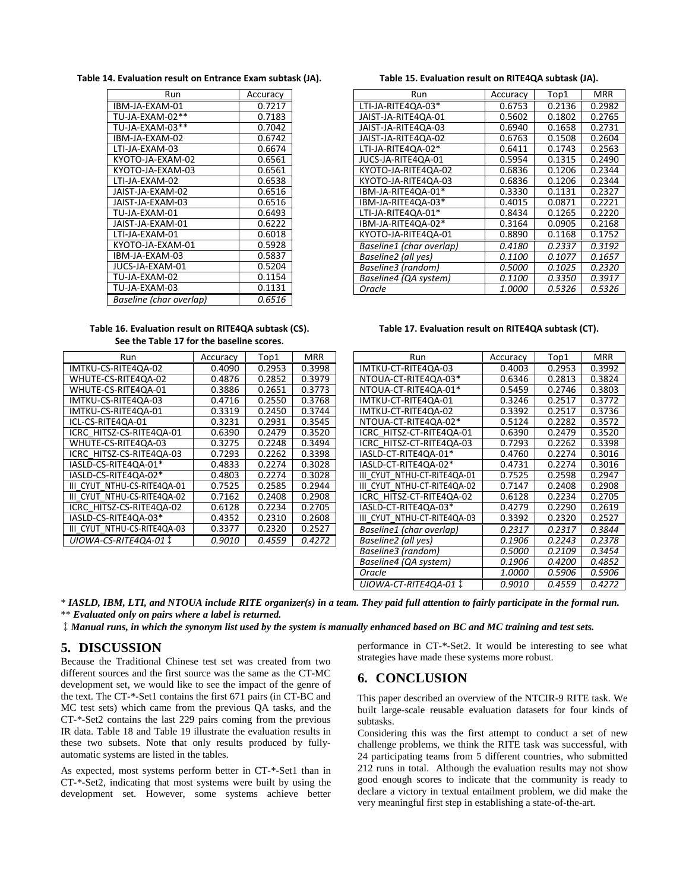Table 14. Evaluation result on Entrance Exam subtask (JA).

| Run                     | Accuracy |
|-------------------------|----------|
| IBM-JA-EXAM-01          | 0.7217   |
| TU-JA-EXAM-02**         | 0.7183   |
| TU-JA-EXAM-03**         | 0.7042   |
| IBM-JA-EXAM-02          | 0.6742   |
| LTI-JA-EXAM-03          | 0.6674   |
| KYOTO-JA-EXAM-02        | 0.6561   |
| KYOTO-JA-EXAM-03        | 0.6561   |
| LTI-JA-EXAM-02          | 0.6538   |
| JAIST-JA-EXAM-02        | 0.6516   |
| JAIST-JA-EXAM-03        | 0.6516   |
| TU-JA-EXAM-01           | 0.6493   |
| JAIST-JA-EXAM-01        | 0.6222   |
| I TI-IA-FXAM-01         | 0.6018   |
| KYOTO-IA-FXAM-01        | 0.5928   |
| IBM-JA-EXAM-03          | 0.5837   |
| JUCS-JA-EXAM-01         | 0.5204   |
| TU-JA-EXAM-02           | 0.1154   |
| TU-JA-EXAM-03           | 0.1131   |
| Baseline (char overlap) | 0.6516   |

#### Table 16. Evaluation result on RITE4QA subtask (CS). See the Table 17 for the baseline scores.

| Run                         | Accuracy | Top1   | MRR    |
|-----------------------------|----------|--------|--------|
| IMTKU-CS-RITE4QA-02         | 0.4090   | 0.2953 | 0.3998 |
| WHUTE-CS-RITE4QA-02         | 0.4876   | 0.2852 | 0.3979 |
| WHUTE-CS-RITE4QA-01         | 0.3886   | 0.2651 | 0.3773 |
| IMTKU-CS-RITE4QA-03         | 0.4716   | 0.2550 | 0.3768 |
| IMTKU-CS-RITE4QA-01         | 0.3319   | 0.2450 | 0.3744 |
| ICL-CS-RITE4QA-01           | 0.3231   | 0.2931 | 0.3545 |
| ICRC HITSZ-CS-RITE4QA-01    | 0.6390   | 0.2479 | 0.3520 |
| WHUTE-CS-RITE4QA-03         | 0.3275   | 0.2248 | 0.3494 |
| ICRC HITSZ-CS-RITE4QA-03    | 0.7293   | 0.2262 | 0.3398 |
| IASLD-CS-RITE4QA-01*        | 0.4833   | 0.2274 | 0.3028 |
| IASLD-CS-RITE4QA-02*        | 0.4803   | 0.2274 | 0.3028 |
| III CYUT NTHU-CS-RITE4QA-01 | 0.7525   | 0.2585 | 0.2944 |
| III CYUT NTHU-CS-RITE4QA-02 | 0.7162   | 0.2408 | 0.2908 |
| ICRC HITSZ-CS-RITE4QA-02    | 0.6128   | 0.2234 | 0.2705 |
| IASLD-CS-RITE4QA-03*        | 0.4352   | 0.2310 | 0.2608 |
| III CYUT NTHU-CS-RITE4QA-03 | 0.3377   | 0.2320 | 0.2527 |
| UIOWA-CS-RITE4QA-01         | 0.9010   | 0.4559 | 0.4272 |

Table 15. Evaluation result on RITE4QA subtask (JA).

|                          |               |        | MRR    |
|--------------------------|---------------|--------|--------|
| Run                      | Accuracy      | Top1   |        |
| LTI-JA-RITE4QA-03*       | 0.6753        | 0.2136 | 0.2982 |
| JAIST-JA-RITE4QA-01      | 0.5602        | 0.1802 | 0.2765 |
| JAIST-JA-RITE4QA-03      | 0.6940        | 0.1658 | 0.2731 |
| JAIST-JA-RITE4QA-02      | 0.6763        | 0.1508 | 0.2604 |
| LTI-JA-RITE4QA-02*       | 0.6411        | 0.1743 | 0.2563 |
| JUCS-JA-RITE4QA-01       | 0.5954        | 0.1315 | 0.2490 |
| KYOTO-JA-RITE4QA-02      | 0.6836        | 0.1206 | 0.2344 |
| KYOTO-JA-RITE4QA-03      | 0.6836        | 0.1206 | 0.2344 |
| IBM-JA-RITE4QA-01*       | 0.3330        | 0.1131 | 0.2327 |
| IBM-JA-RITE4QA-03*       | 0.4015        | 0.0871 | 0.2221 |
| LTI-JA-RITE4QA-01*       | 0.8434        | 0.1265 | 0.2220 |
| IBM-JA-RITE4QA-02*       | 0.3164        | 0.0905 | 0.2168 |
| KYOTO-JA-RITE4QA-01      | 0.8890        | 0.1168 | 0.1752 |
| Baseline1 (char overlap) | 0.4180        | 0.2337 | 0.3192 |
| Baseline2 (all yes)      | 0.1100        | 0.1077 | 0.1657 |
| Baseline3 (random)       | <i>0.5000</i> | 0.1025 | 0.2320 |
| Baseline4 (QA system)    | 0.1100        | 0.3350 | 0.3917 |
| Oracle                   | 1.0000        | 0.5326 | 0.5326 |
|                          |               |        |        |

#### Table 17. Evaluation result on RITE4QA subtask (CT).

| Run                          | Accuracy      | Top1          | <b>MRR</b> |
|------------------------------|---------------|---------------|------------|
| IMTKU-CT-RITE4QA-03          | 0.4003        | 0.2953        | 0.3992     |
| NTOUA-CT-RITE4QA-03*         | 0.6346        | 0.2813        | 0.3824     |
| NTOUA-CT-RITE4QA-01*         | 0.5459        | 0.2746        | 0.3803     |
| IMTKU-CT-RITE4QA-01          | 0.3246        | 0.2517        | 0.3772     |
| IMTKU-CT-RITE4QA-02          | 0.3392        | 0.2517        | 0.3736     |
| NTOUA-CT-RITE4QA-02*         | 0.5124        | 0.2282        | 0.3572     |
| ICRC HITSZ-CT-RITE4QA-01     | 0.6390        | 0.2479        | 0.3520     |
| ICRC HITSZ-CT-RITE4QA-03     | 0.7293        | 0.2262        | 0.3398     |
| IASLD-CT-RITE4QA-01*         | 0.4760        | 0.2274        | 0.3016     |
| IASLD-CT-RITE4QA-02*         | 0.4731        | 0.2274        | 0.3016     |
| CYUT NTHU-CT-RITE4QA-01<br>Ш | 0.7525        | 0.2598        | 0.2947     |
| III CYUT NTHU-CT-RITE4QA-02  | 0.7147        | 0.2408        | 0.2908     |
| ICRC HITSZ-CT-RITE4QA-02     | 0.6128        | 0.2234        | 0.2705     |
| IASLD-CT-RITE4QA-03*         | 0.4279        | 0.2290        | 0.2619     |
| CYUT NTHU-CT-RITE4QA-03<br>Ш | 0.3392        | 0.2320        | 0.2527     |
| Baseline1 (char overlap)     | 0.2317        | 0.2317        | 0.3844     |
| Baseline2 (all yes)          | <i>0.1906</i> | 0.2243        | 0.2378     |
| Baseline3 (random)           | <i>0.5000</i> | 0.2109        | 0.3454     |
| Baseline4 (QA system)        | <i>0.1906</i> | <i>0.4200</i> | 0.4852     |
| Oracle                       | <i>1.0000</i> | 0.5906        | 0.5906     |
| UIOWA-CT-RITE4QA-01          | <i>0.9010</i> | 0.4559        | 0.4272     |

\* *IASLD, IBM, LTI, and NTOUA include RITE organizer(s) in a team. They paid full attention to fairly participate in the formal run.* \*\* *Evaluated only on pairs where a label is returned.*

‡*Manual runs, in which the synonym list used by the system is manually enhanced based on BC and MC training and test sets.*

# **5. DISCUSSION**

Because the Traditional Chinese test set was created from two different sources and the first source was the same as the CT-MC development set, we would like to see the impact of the genre of the text. The CT-\*-Set1 contains the first 671 pairs (in CT-BC and MC test sets) which came from the previous QA tasks, and the CT-\*-Set2 contains the last 229 pairs coming from the previous IR data. Table 18 and Table 19 illustrate the evaluation results in these two subsets. Note that only results produced by fullyautomatic systems are listed in the tables.

As expected, most systems perform better in CT-\*-Set1 than in CT-\*-Set2, indicating that most systems were built by using the development set. However, some systems achieve better performance in CT-\*-Set2. It would be interesting to see what strategies have made these systems more robust.

## **6. CONCLUSION**

This paper described an overview of the NTCIR-9 RITE task. We built large-scale reusable evaluation datasets for four kinds of subtasks.

Considering this was the first attempt to conduct a set of new challenge problems, we think the RITE task was successful, with 24 participating teams from 5 different countries, who submitted 212 runs in total. Although the evaluation results may not show good enough scores to indicate that the community is ready to declare a victory in textual entailment problem, we did make the very meaningful first step in establishing a state-of-the-art.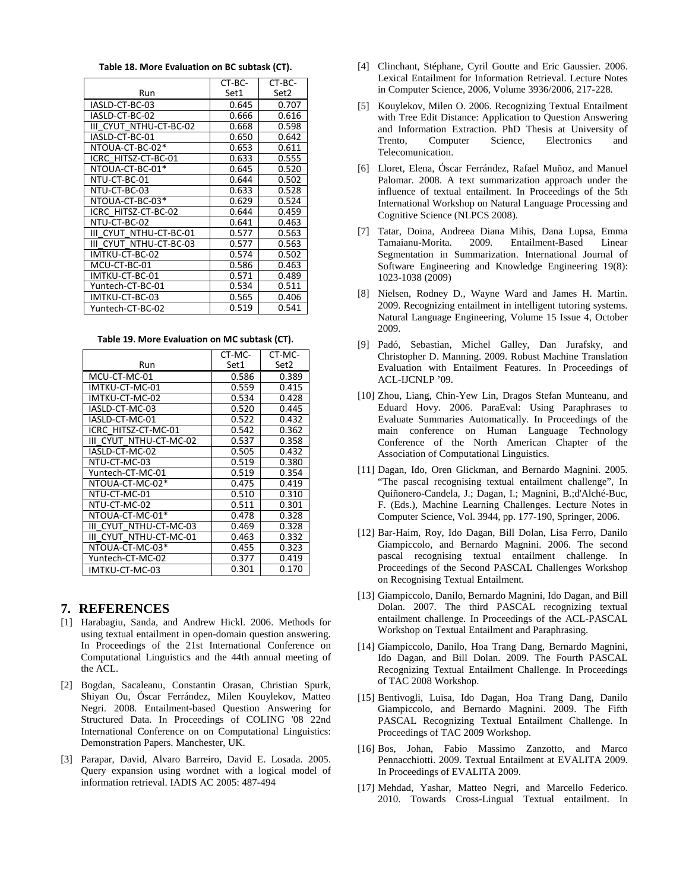Table 18. More Evaluation on BC subtask (CT).

|                         | CT-BC- | CT-BC- |
|-------------------------|--------|--------|
| Run                     | Set1   | Set2   |
| IASLD-CT-BC-03          | 0.645  | 0.707  |
| IASLD-CT-BC-02          | 0.666  | 0.616  |
| III CYUT NTHU-CT-BC-02  | 0.668  | 0.598  |
| IASLD-CT-BC-01          | 0.650  | 0.642  |
| NTOUA-CT-BC-02*         | 0.653  | 0.611  |
| ICRC HITSZ-CT-BC-01     | 0.633  | 0.555  |
| NTOUA-CT-BC-01*         | 0.645  | 0.520  |
| NTU-CT-BC-01            | 0.644  | 0.502  |
| NTU-CT-BC-03            | 0.633  | 0.528  |
| NTOUA-CT-BC-03*         | 0.629  | 0.524  |
| ICRC HITSZ-CT-BC-02     | 0.644  | 0.459  |
| NTU-CT-BC-02            | 0.641  | 0.463  |
| CYUT NTHU-CT-BC-01<br>Ш | 0.577  | 0.563  |
| CYUT NTHU-CT-BC-03<br>Ш | 0.577  | 0.563  |
| IMTKU-CT-BC-02          | 0.574  | 0.502  |
| MCU-CT-BC-01            | 0.586  | 0.463  |
| IMTKU-CT-BC-01          | 0.571  | 0.489  |
| Yuntech-CT-BC-01        | 0.534  | 0.511  |
| IMTKU-CT-BC-03          | 0.565  | 0.406  |
| Yuntech-CT-BC-02        | 0.519  | 0.541  |

Table 19. More Evaluation on MC subtask (CT).

|                        | CT-MC- | CT-MC- |
|------------------------|--------|--------|
| Run                    | Set1   | Set2   |
| MCU-CT-MC-01           | 0.586  | 0.389  |
| IMTKU-CT-MC-01         | 0.559  | 0.415  |
| IMTKU-CT-MC-02         | 0.534  | 0.428  |
| IASLD-CT-MC-03         | 0.520  | 0.445  |
| IASLD-CT-MC-01         | 0.522  | 0.432  |
| ICRC HITSZ-CT-MC-01    | 0.542  | 0.362  |
| III CYUT NTHU-CT-MC-02 | 0.537  | 0.358  |
| IASLD-CT-MC-02         | 0.505  | 0.432  |
| NTU-CT-MC-03           | 0.519  | 0.380  |
| Yuntech-CT-MC-01       | 0.519  | 0.354  |
| NTOUA-CT-MC-02*        | 0.475  | 0.419  |
| NTU-CT-MC-01           | 0.510  | 0.310  |
| NTU-CT-MC-02           | 0.511  | 0.301  |
| NTOUA-CT-MC-01*        | 0.478  | 0.328  |
| III CYUT NTHU-CT-MC-03 | 0.469  | 0.328  |
| III CYUT NTHU-CT-MC-01 | 0.463  | 0.332  |
| NTOUA-CT-MC-03*        | 0.455  | 0.323  |
| Yuntech-CT-MC-02       | 0.377  | 0.419  |
| IMTKU-CT-MC-03         | 0.301  | 0.170  |

## **7. REFERENCES**

- [1] Harabagiu, Sanda, and Andrew Hickl. 2006. Methods for using textual entailment in open-domain question answering. In Proceedings of the 21st International Conference on Computational Linguistics and the 44th annual meeting of the ACL.
- [2] Bogdan, Sacaleanu, Constantin Orasan, Christian Spurk, Shiyan Ou, Óscar Ferrández, Milen Kouylekov, Matteo Negri. 2008. Entailment-based Question Answering for Structured Data. In Proceedings of COLING '08 22nd International Conference on on Computational Linguistics: Demonstration Papers. Manchester, UK.
- [3] Parapar, David, Alvaro Barreiro, David E. Losada. 2005. Query expansion using wordnet with a logical model of information retrieval. IADIS AC 2005: 487-494
- [4] Clinchant, Stéphane, Cyril Goutte and Eric Gaussier. 2006. Lexical Entailment for Information Retrieval. Lecture Notes in Computer Science, 2006, Volume 3936/2006, 217-228.
- [5] Kouylekov, Milen O. 2006. Recognizing Textual Entailment with Tree Edit Distance: Application to Question Answering and Information Extraction. PhD Thesis at University of Trento, Computer Science, Electronics and Telecomunication.
- [6] Lloret, Elena, Óscar Ferrández, Rafael Muñoz, and Manuel Palomar. 2008. A text summarization approach under the influence of textual entailment. In Proceedings of the 5th International Workshop on Natural Language Processing and Cognitive Science (NLPCS 2008).
- [7] Tatar, Doina, Andreea Diana Mihis, Dana Lupsa, Emma Tamaianu-Morita. 2009. Entailment-Based Linear Segmentation in Summarization. International Journal of Software Engineering and Knowledge Engineering 19(8): 1023-1038 (2009)
- [8] Nielsen, Rodney D., Wayne Ward and James H. Martin. 2009. Recognizing entailment in intelligent tutoring systems. Natural Language Engineering, Volume 15 Issue 4, October 2009.
- [9] Padó, Sebastian, Michel Galley, Dan Jurafsky, and Christopher D. Manning. 2009. Robust Machine Translation Evaluation with Entailment Features. In Proceedings of ACL-IJCNLP '09.
- [10] Zhou, Liang, Chin-Yew Lin, Dragos Stefan Munteanu, and Eduard Hovy. 2006. ParaEval: Using Paraphrases to Evaluate Summaries Automatically. In Proceedings of the main conference on Human Language Technology Conference of the North American Chapter of the Association of Computational Linguistics.
- [11] Dagan, Ido, Oren Glickman, and Bernardo Magnini. 2005. "The pascal recognising textual entailment challenge", In Quiñonero-Candela, J.; Dagan, I.; Magnini, B.;d'Alché-Buc, F. (Eds.), Machine Learning Challenges. Lecture Notes in Computer Science, Vol. 3944, pp. 177-190, Springer, 2006.
- [12] Bar-Haim, Roy, Ido Dagan, Bill Dolan, Lisa Ferro, Danilo Giampiccolo, and Bernardo Magnini. 2006. The second pascal recognising textual entailment challenge. In Proceedings of the Second PASCAL Challenges Workshop on Recognising Textual Entailment.
- [13] Giampiccolo, Danilo, Bernardo Magnini, Ido Dagan, and Bill Dolan. 2007. The third PASCAL recognizing textual entailment challenge. In Proceedings of the ACL-PASCAL Workshop on Textual Entailment and Paraphrasing.
- [14] Giampiccolo, Danilo, Hoa Trang Dang, Bernardo Magnini, Ido Dagan, and Bill Dolan. 2009. The Fourth PASCAL Recognizing Textual Entailment Challenge. In Proceedings of TAC 2008 Workshop.
- [15] Bentivogli, Luisa, Ido Dagan, Hoa Trang Dang, Danilo Giampiccolo, and Bernardo Magnini. 2009. The Fifth PASCAL Recognizing Textual Entailment Challenge. In Proceedings of TAC 2009 Workshop.
- [16] Bos, Johan, Fabio Massimo Zanzotto, and Marco Pennacchiotti. 2009. Textual Entailment at EVALITA 2009. In Proceedings of EVALITA 2009.
- [17] Mehdad, Yashar, Matteo Negri, and Marcello Federico. 2010. Towards Cross-Lingual Textual entailment. In